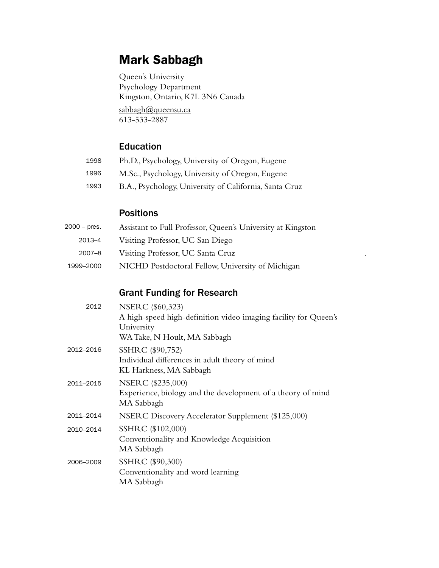# Mark Sabbagh

Queen's University Psychology Department Kingston, Ontario, K7L 3N6 Canada

[sabbagh@queensu.ca](mailto:sabbagh@queensu.ca) 613-533-2887

## Education

- Ph.D., Psychology, University of Oregon, Eugene 1998
- M.Sc., Psychology, University of Oregon, Eugene 1996
- B.A., Psychology, University of California, Santa Cruz 1993

# Positions

| 2000 – pres. | Assistant to Full Professor, Queen's University at Kingston |  |
|--------------|-------------------------------------------------------------|--|
| 2013-4       | Visiting Professor, UC San Diego                            |  |
| $2007 - 8$   | Visiting Professor, UC Santa Cruz                           |  |
| 1999–2000    | NICHD Postdoctoral Fellow, University of Michigan           |  |

## Grant Funding for Research

| 2012      | NSERC (\$60,323)<br>A high-speed high-definition video imaging facility for Queen's<br>University |
|-----------|---------------------------------------------------------------------------------------------------|
|           | WA Take, N Hoult, MA Sabbagh                                                                      |
| 2012–2016 | SSHRC (\$90,752)<br>Individual differences in adult theory of mind<br>KL Harkness, MA Sabbagh     |
| 2011–2015 | NSERC (\$235,000)<br>Experience, biology and the development of a theory of mind<br>MA Sabbagh    |
| 2011–2014 | NSERC Discovery Accelerator Supplement (\$125,000)                                                |
| 2010–2014 | SSHRC (\$102,000)<br>Conventionality and Knowledge Acquisition<br>MA Sabbagh                      |
| 2006-2009 | SSHRC (\$90,300)<br>Conventionality and word learning<br>MA Sabbagh                               |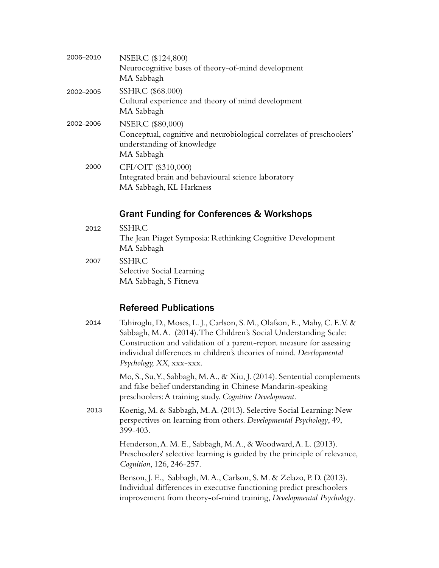| 2006-2010 | NSERC (\$124,800)<br>Neurocognitive bases of theory-of-mind development<br>MA Sabbagh                                                        |
|-----------|----------------------------------------------------------------------------------------------------------------------------------------------|
| 2002-2005 | SSHRC (\$68.000)<br>Cultural experience and theory of mind development<br>MA Sabbagh                                                         |
| 2002-2006 | <b>NSERC</b> (\$80,000)<br>Conceptual, cognitive and neurobiological correlates of preschoolers'<br>understanding of knowledge<br>MA Sabbagh |
| 2000      | CFI/OIT (\$310,000)<br>Integrated brain and behavioural science laboratory<br>MA Sabbagh, KL Harkness                                        |

#### Grant Funding for Conferences & Workshops

- SSHRC The Jean Piaget Symposia: Rethinking Cognitive Development MA Sabbagh 2012
- SSHRC Selective Social Learning MA Sabbagh, S Fitneva 2007

## Refereed Publications

Tahiroglu, D., Moses, L. J., Carlson, S. M., Olafson, E., Mahy, C. E. V. & Sabbagh, M. A. (2014). The Children's Social Understanding Scale: Construction and validation of a parent-report measure for assessing individual differences in children's theories of mind. *Developmental Psychology, XX,* xxx-xxx. 2014

> Mo, S., Su, Y., Sabbagh, M. A., & Xiu, J. (2014). Sentential complements and false belief understanding in Chinese Mandarin-speaking preschoolers: A training study. *Cognitive Development*.

Koenig, M. & Sabbagh, M. A. (2013). Selective Social Learning: New perspectives on learning from others. *Developmental Psychology*, 49, 399-403. 2013

> Henderson, A. M. E., Sabbagh, M. A., & Woodward, A. L. (2013). Preschoolers' selective learning is guided by the principle of relevance, *Cognition*, 126, 246-257.

Benson, J. E., Sabbagh, M. A., Carlson, S. M. & Zelazo, P. D. (2013). Individual differences in executive functioning predict preschoolers improvement from theory-of-mind training, *Developmental Psychology*.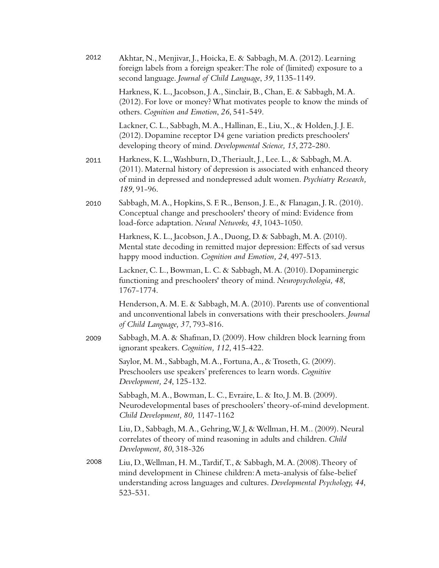| 2012 | Akhtar, N., Menjivar, J., Hoicka, E. & Sabbagh, M.A. (2012). Learning<br>foreign labels from a foreign speaker: The role of (limited) exposure to a<br>second language. Journal of Child Language, 39, 1135-1149.                              |
|------|------------------------------------------------------------------------------------------------------------------------------------------------------------------------------------------------------------------------------------------------|
|      | Harkness, K. L., Jacobson, J. A., Sinclair, B., Chan, E. & Sabbagh, M. A.<br>(2012). For love or money? What motivates people to know the minds of<br>others. Cognition and Emotion, 26, 541-549.                                              |
|      | Lackner, C. L., Sabbagh, M. A., Hallinan, E., Liu, X., & Holden, J. J. E.<br>(2012). Dopamine receptor D4 gene variation predicts preschoolers'<br>developing theory of mind. Developmental Science, 15, 272-280.                              |
| 2011 | Harkness, K. L., Washburn, D., Theriault, J., Lee. L., & Sabbagh, M. A.<br>(2011). Maternal history of depression is associated with enhanced theory<br>of mind in depressed and nondepressed adult women. Psychiatry Research,<br>189, 91-96. |
| 2010 | Sabbagh, M. A., Hopkins, S. F. R., Benson, J. E., & Flanagan, J. R. (2010).<br>Conceptual change and preschoolers' theory of mind: Evidence from<br>load-force adaptation. Neural Networks, 43, 1043-1050.                                     |
|      | Harkness, K. L., Jacobson, J. A., Duong, D. & Sabbagh, M. A. (2010).<br>Mental state decoding in remitted major depression: Effects of sad versus<br>happy mood induction. Cognition and Emotion, 24, 497-513.                                 |
|      | Lackner, C. L., Bowman, L. C. & Sabbagh, M. A. (2010). Dopaminergic<br>functioning and preschoolers' theory of mind. Neuropsychologia, 48,<br>1767-1774.                                                                                       |
|      | Henderson, A. M. E. & Sabbagh, M. A. (2010). Parents use of conventional<br>and unconventional labels in conversations with their preschoolers. Journal<br>of Child Language, 37, 793-816.                                                     |
| 2009 | Sabbagh, M.A. & Shafman, D. (2009). How children block learning from<br>ignorant speakers. Cognition, 112, 415-422.                                                                                                                            |
|      | Saylor, M. M., Sabbagh, M. A., Fortuna, A., & Troseth, G. (2009).<br>Preschoolers use speakers' preferences to learn words. Cognitive<br>Development, 24, 125-132.                                                                             |
|      | Sabbagh, M. A., Bowman, L. C., Evraire, L. & Ito, J. M. B. (2009).<br>Neurodevelopmental bases of preschoolers' theory-of-mind development.<br>Child Development, 80, 1147-1162                                                                |
|      | Liu, D., Sabbagh, M.A., Gehring, W.J, & Wellman, H.M (2009). Neural<br>correlates of theory of mind reasoning in adults and children. Child<br>Development, 80, 318-326                                                                        |
| 2008 | Liu, D., Wellman, H. M., Tardif, T., & Sabbagh, M. A. (2008). Theory of<br>mind development in Chinese children: A meta-analysis of false-belief<br>understanding across languages and cultures. Developmental Psychology, 44,<br>523-531.     |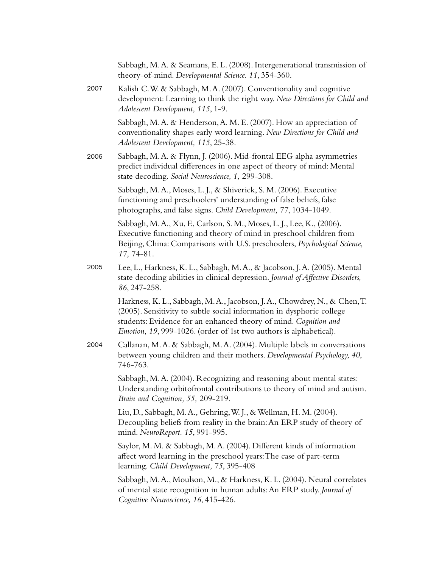|      | Sabbagh, M.A. & Seamans, E.L. (2008). Intergenerational transmission of<br>theory-of-mind. Developmental Science. 11, 354-360.                                                                                                                                                                |
|------|-----------------------------------------------------------------------------------------------------------------------------------------------------------------------------------------------------------------------------------------------------------------------------------------------|
| 2007 | Kalish C.W. & Sabbagh, M.A. (2007). Conventionality and cognitive<br>development: Learning to think the right way. New Directions for Child and<br>Adolescent Development, 115, 1-9.                                                                                                          |
|      | Sabbagh, M.A. & Henderson, A.M.E. (2007). How an appreciation of<br>conventionality shapes early word learning. New Directions for Child and<br>Adolescent Development, 115, 25-38.                                                                                                           |
| 2006 | Sabbagh, M.A. & Flynn, J. (2006). Mid-frontal EEG alpha asymmetries<br>predict individual differences in one aspect of theory of mind: Mental<br>state decoding. Social Neuroscience, 1, 299-308.                                                                                             |
|      | Sabbagh, M.A., Moses, L.J., & Shiverick, S.M. (2006). Executive<br>functioning and preschoolers' understanding of false beliefs, false<br>photographs, and false signs. Child Development, 77, 1034-1049.                                                                                     |
|      | Sabbagh, M. A., Xu, F., Carlson, S. M., Moses, L. J., Lee, K., (2006).<br>Executive functioning and theory of mind in preschool children from<br>Beijing, China: Comparisons with U.S. preschoolers, Psychological Science,<br>17, 74-81.                                                     |
| 2005 | Lee, L., Harkness, K. L., Sabbagh, M. A., & Jacobson, J. A. (2005). Mental<br>state decoding abilities in clinical depression. Journal of Affective Disorders,<br>86, 247-258.                                                                                                                |
|      | Harkness, K. L., Sabbagh, M. A., Jacobson, J. A., Chowdrey, N., & Chen, T.<br>(2005). Sensitivity to subtle social information in dysphoric college<br>students: Evidence for an enhanced theory of mind. Cognition and<br>Emotion, 19, 999-1026. (order of 1st two authors is alphabetical). |
| 2004 | Callanan, M.A. & Sabbagh, M.A. (2004). Multiple labels in conversations<br>between young children and their mothers. Developmental Psychology, 40,<br>746-763.                                                                                                                                |
|      | Sabbagh, M.A. (2004). Recognizing and reasoning about mental states:<br>Understanding orbitofrontal contributions to theory of mind and autism.<br>Brain and Cognition, 55, 209-219.                                                                                                          |
|      | Liu, D., Sabbagh, M.A., Gehring, W.J., & Wellman, H.M. (2004).<br>Decoupling beliefs from reality in the brain: An ERP study of theory of<br>mind. NeuroReport. 15, 991-995.                                                                                                                  |
|      | Saylor, M. M. & Sabbagh, M. A. (2004). Different kinds of information<br>affect word learning in the preschool years: The case of part-term<br>learning. Child Development, 75, 395-408                                                                                                       |
|      | Sabbagh, M. A., Moulson, M., & Harkness, K. L. (2004). Neural correlates<br>of mental state recognition in human adults: An ERP study. Journal of<br>Cognitive Neuroscience, 16, 415-426.                                                                                                     |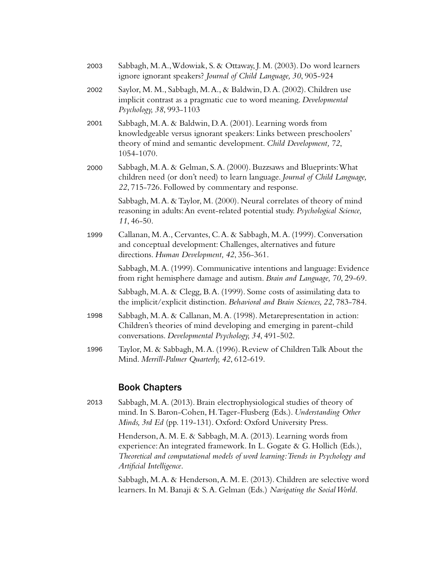| 2003 | Sabbagh, M.A., Wdowiak, S. & Ottaway, J.M. (2003). Do word learners<br>ignore ignorant speakers? Journal of Child Language, 30, 905-924                                                                           |
|------|-------------------------------------------------------------------------------------------------------------------------------------------------------------------------------------------------------------------|
| 2002 | Saylor, M. M., Sabbagh, M. A., & Baldwin, D. A. (2002). Children use<br>implicit contrast as a pragmatic cue to word meaning. Developmental<br>Psychology, 38, 993-1103                                           |
| 2001 | Sabbagh, M.A. & Baldwin, D.A. (2001). Learning words from<br>knowledgeable versus ignorant speakers: Links between preschoolers'<br>theory of mind and semantic development. Child Development, 72,<br>1054-1070. |
| 2000 | Sabbagh, M.A. & Gelman, S.A. (2000). Buzzsaws and Blueprints: What<br>children need (or don't need) to learn language. Journal of Child Language,<br>22, 715-726. Followed by commentary and response.            |
|      | Sabbagh, M.A. & Taylor, M. (2000). Neural correlates of theory of mind<br>reasoning in adults: An event-related potential study. Psychological Science,<br>11, 46-50.                                             |
| 1999 | Callanan, M.A., Cervantes, C.A. & Sabbagh, M.A. (1999). Conversation<br>and conceptual development: Challenges, alternatives and future<br>directions. Human Development, 42, 356-361.                            |
|      | Sabbagh, M.A. (1999). Communicative intentions and language: Evidence<br>from right hemisphere damage and autism. Brain and Language, 70, 29-69.                                                                  |
|      | Sabbagh, M.A. & Clegg, B.A. (1999). Some costs of assimilating data to<br>the implicit/explicit distinction. Behavioral and Brain Sciences, 22, 783-784.                                                          |
| 1998 | Sabbagh, M.A. & Callanan, M.A. (1998). Metarepresentation in action:<br>Children's theories of mind developing and emerging in parent-child<br>conversations. Developmental Psychology, 34, 491-502.              |
| 1996 | Taylor, M. & Sabbagh, M. A. (1996). Review of Children Talk About the<br>Mind. Merrill-Palmer Quarterly, 42, 612-619.                                                                                             |

#### Book Chapters

Sabbagh, M. A. (2013). Brain electrophysiological studies of theory of mind. In S. Baron-Cohen, H. Tager-Flusberg (Eds.). *Understanding Other Minds, 3rd Ed* (pp. 119-131). Oxford: Oxford University Press. 2013

> Henderson, A. M. E. & Sabbagh, M. A. (2013). Learning words from experience: An integrated framework. In L. Gogate & G. Hollich (Eds.), *Theoretical and computational models of word learning: Trends in Psychology and Artificial Intelligence*.

Sabbagh, M. A. & Henderson, A. M. E. (2013). Children are selective word learners. In M. Banaji & S. A. Gelman (Eds.) *Navigating the Social World*.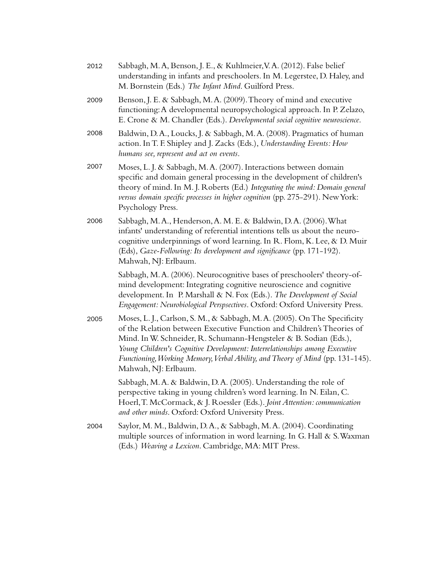| 2012 | Sabbagh, M.A, Benson, J.E., & Kuhlmeier, V.A. (2012). False belief<br>understanding in infants and preschoolers. In M. Legerstee, D. Haley, and<br>M. Bornstein (Eds.) The Infant Mind. Guilford Press.                                                                                                                                                                                                         |
|------|-----------------------------------------------------------------------------------------------------------------------------------------------------------------------------------------------------------------------------------------------------------------------------------------------------------------------------------------------------------------------------------------------------------------|
| 2009 | Benson, J. E. & Sabbagh, M. A. (2009). Theory of mind and executive<br>functioning: A developmental neuropsychological approach. In P. Zelazo,<br>E. Crone & M. Chandler (Eds.). Developmental social cognitive neuroscience.                                                                                                                                                                                   |
| 2008 | Baldwin, D.A., Loucks, J. & Sabbagh, M.A. (2008). Pragmatics of human<br>action. In T. F. Shipley and J. Zacks (Eds.), Understanding Events: How<br>humans see, represent and act on events.                                                                                                                                                                                                                    |
| 2007 | Moses, L. J. & Sabbagh, M. A. (2007). Interactions between domain<br>specific and domain general processing in the development of children's<br>theory of mind. In M. J. Roberts (Ed.) Integrating the mind: Domain general<br>versus domain specific processes in higher cognition (pp. 275-291). New York:<br>Psychology Press.                                                                               |
| 2006 | Sabbagh, M.A., Henderson, A. M. E. & Baldwin, D.A. (2006). What<br>infants' understanding of referential intentions tells us about the neuro-<br>cognitive underpinnings of word learning. In R. Flom, K. Lee, & D. Muir<br>(Eds), Gaze-Following: Its development and significance (pp. 171-192).<br>Mahwah, NJ: Erlbaum.                                                                                      |
|      | Sabbagh, M.A. (2006). Neurocognitive bases of preschoolers' theory-of-<br>mind development: Integrating cognitive neuroscience and cognitive<br>development. In P. Marshall & N. Fox (Eds.). The Development of Social<br>Engagement: Neurobiological Perspsectives. Oxford: Oxford University Press.                                                                                                           |
| 2005 | Moses, L. J., Carlson, S. M., & Sabbagh, M. A. (2005). On The Specificity<br>of the Relation between Executive Function and Children's Theories of<br>Mind. In W. Schneider, R. Schumann-Hengsteler & B. Sodian (Eds.),<br>Young Children's Cognitive Development: Interrelationships among Executive<br>Functioning, Working Memory, Verbal Ability, and Theory of Mind (pp. 131-145).<br>Mahwah, NJ: Erlbaum. |
|      | Sabbagh, M.A. & Baldwin, D.A. (2005). Understanding the role of<br>perspective taking in young children's word learning. In N. Eilan, C.<br>Hoerl, T. McCormack, & J. Roessler (Eds.). Joint Attention: communication<br>and other minds. Oxford: Oxford University Press.                                                                                                                                      |
| 2004 | Saylor, M. M., Baldwin, D.A., & Sabbagh, M.A. (2004). Coordinating<br>multiple sources of information in word learning. In G. Hall & S. Waxman<br>(Eds.) Weaving a Lexicon. Cambridge, MA: MIT Press.                                                                                                                                                                                                           |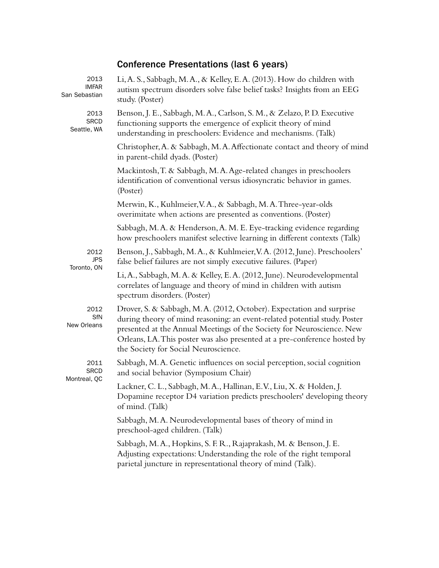# Conference Presentations (last 6 years)

| 2013<br><b>IMFAR</b><br>San Sebastian | Li, A. S., Sabbagh, M. A., & Kelley, E. A. (2013). How do children with<br>autism spectrum disorders solve false belief tasks? Insights from an EEG<br>study. (Poster)                                                                                                                                                                           |
|---------------------------------------|--------------------------------------------------------------------------------------------------------------------------------------------------------------------------------------------------------------------------------------------------------------------------------------------------------------------------------------------------|
| 2013<br><b>SRCD</b><br>Seattle, WA    | Benson, J. E., Sabbagh, M. A., Carlson, S. M., & Zelazo, P. D. Executive<br>functioning supports the emergence of explicit theory of mind<br>understanding in preschoolers: Evidence and mechanisms. (Talk)                                                                                                                                      |
|                                       | Christopher, A. & Sabbagh, M. A. Affectionate contact and theory of mind<br>in parent-child dyads. (Poster)                                                                                                                                                                                                                                      |
|                                       | Mackintosh, T. & Sabbagh, M. A. Age-related changes in preschoolers<br>identification of conventional versus idiosyncratic behavior in games.<br>(Poster)                                                                                                                                                                                        |
|                                       | Merwin, K., Kuhlmeier, V.A., & Sabbagh, M.A. Three-year-olds<br>overimitate when actions are presented as conventions. (Poster)                                                                                                                                                                                                                  |
|                                       | Sabbagh, M.A. & Henderson, A.M. E. Eye-tracking evidence regarding<br>how preschoolers manifest selective learning in different contexts (Talk)                                                                                                                                                                                                  |
| 2012<br><b>JPS</b><br>Toronto, ON     | Benson, J., Sabbagh, M.A., & Kuhlmeier, V.A. (2012, June). Preschoolers'<br>false belief failures are not simply executive failures. (Paper)                                                                                                                                                                                                     |
|                                       | Li, A., Sabbagh, M. A. & Kelley, E. A. (2012, June). Neurodevelopmental<br>correlates of language and theory of mind in children with autism<br>spectrum disorders. (Poster)                                                                                                                                                                     |
| 2012<br><b>SfN</b><br>New Orleans     | Drover, S. & Sabbagh, M. A. (2012, October). Expectation and surprise<br>during theory of mind reasoning: an event-related potential study. Poster<br>presented at the Annual Meetings of the Society for Neuroscience. New<br>Orleans, LA. This poster was also presented at a pre-conference hosted by<br>the Society for Social Neuroscience. |
| 2011<br><b>SRCD</b><br>Montreal, QC   | Sabbagh, M.A. Genetic influences on social perception, social cognition<br>and social behavior (Symposium Chair)                                                                                                                                                                                                                                 |
|                                       | Lackner, C. L., Sabbagh, M. A., Hallinan, E.V., Liu, X. & Holden, J.<br>Dopamine receptor D4 variation predicts preschoolers' developing theory<br>of mind. (Talk)                                                                                                                                                                               |
|                                       | Sabbagh, M.A. Neurodevelopmental bases of theory of mind in<br>preschool-aged children. (Talk)                                                                                                                                                                                                                                                   |
|                                       | Sabbagh, M.A., Hopkins, S.F.R., Rajaprakash, M. & Benson, J.E.<br>Adjusting expectations: Understanding the role of the right temporal<br>parietal juncture in representational theory of mind (Talk).                                                                                                                                           |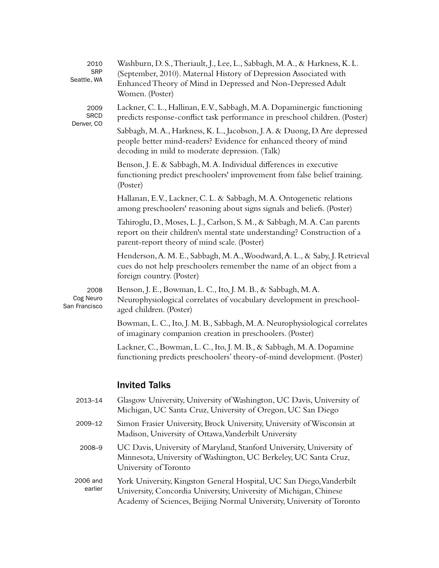| 2010<br><b>SRP</b><br>Seattle, WA  | Washburn, D. S., Theriault, J., Lee, L., Sabbagh, M. A., & Harkness, K. L.<br>(September, 2010). Maternal History of Depression Associated with<br>Enhanced Theory of Mind in Depressed and Non-Depressed Adult<br>Women. (Poster) |
|------------------------------------|------------------------------------------------------------------------------------------------------------------------------------------------------------------------------------------------------------------------------------|
| 2009<br><b>SRCD</b><br>Denver, CO  | Lackner, C. L., Hallinan, E.V., Sabbagh, M. A. Dopaminergic functioning<br>predicts response-conflict task performance in preschool children. (Poster)                                                                             |
|                                    | Sabbagh, M.A., Harkness, K. L., Jacobson, J.A. & Duong, D. Are depressed<br>people better mind-readers? Evidence for enhanced theory of mind<br>decoding in mild to moderate depression. (Talk)                                    |
|                                    | Benson, J. E. & Sabbagh, M. A. Individual differences in executive<br>functioning predict preschoolers' improvement from false belief training.<br>(Poster)                                                                        |
|                                    | Hallanan, E.V., Lackner, C. L. & Sabbagh, M. A. Ontogenetic relations<br>among preschoolers' reasoning about signs signals and beliefs. (Poster)                                                                                   |
|                                    | Tahiroglu, D., Moses, L. J., Carlson, S. M., & Sabbagh, M. A. Can parents<br>report on their children's mental state understanding? Construction of a<br>parent-report theory of mind scale. (Poster)                              |
|                                    | Henderson, A. M. E., Sabbagh, M. A., Woodward, A. L., & Saby, J. Retrieval<br>cues do not help preschoolers remember the name of an object from a<br>foreign country. (Poster)                                                     |
| 2008<br>Cog Neuro<br>San Francisco | Benson, J. E., Bowman, L. C., Ito, J. M. B., & Sabbagh, M. A.<br>Neurophysiological correlates of vocabulary development in preschool-<br>aged children. (Poster)                                                                  |
|                                    | Bowman, L. C., Ito, J. M. B., Sabbagh, M. A. Neurophysiological correlates<br>of imaginary companion creation in preschoolers. (Poster)                                                                                            |
|                                    | Lackner, C., Bowman, L. C., Ito, J. M. B., & Sabbagh, M. A. Dopamine<br>functioning predicts preschoolers' theory-of-mind development. (Poster)                                                                                    |
|                                    | <b>Invited Talks</b>                                                                                                                                                                                                               |
| 2013-14                            | Glasgow University, University of Washington, UC Davis, University of<br>Michigan, UC Santa Cruz, University of Oregon, UC San Diego                                                                                               |
| 2009-12                            | Simon Frasier University, Brock University, University of Wisconsin at<br>Madison, University of Ottawa, Vanderbilt University                                                                                                     |
| 2008-9                             | UC Davis, University of Maryland, Stanford University, University of<br>Minnesota, University of Washington, UC Berkeley, UC Santa Cruz,<br>University of Toronto                                                                  |
| 2006 and<br>earlier                | York University, Kingston General Hospital, UC San Diego, Vanderbilt<br>University, Concordia University, University of Michigan, Chinese<br>Academy of Sciences, Beijing Normal University, University of Toronto                 |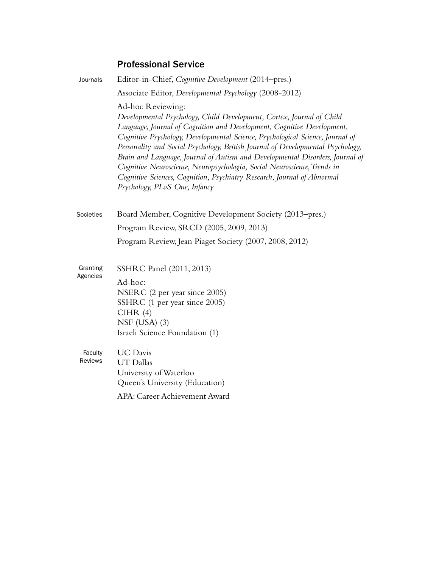# Professional Service

| Journals                  | Editor-in-Chief, Cognitive Development (2014–pres.)                                                                                                                                                                                                                                                                                                                                                                                                                                                                                                                                                                |
|---------------------------|--------------------------------------------------------------------------------------------------------------------------------------------------------------------------------------------------------------------------------------------------------------------------------------------------------------------------------------------------------------------------------------------------------------------------------------------------------------------------------------------------------------------------------------------------------------------------------------------------------------------|
|                           | Associate Editor, Developmental Psychology (2008-2012)                                                                                                                                                                                                                                                                                                                                                                                                                                                                                                                                                             |
|                           | Ad-hoc Reviewing:<br>Developmental Psychology, Child Development, Cortex, Journal of Child<br>Language, Journal of Cognition and Development, Cognitive Development,<br>Cognitive Psychology, Developmental Science, Psychological Science, Journal of<br>Personality and Social Psychology, British Journal of Developmental Psychology,<br>Brain and Language, Journal of Autism and Developmental Disorders, Journal of<br>Cognitive Neuroscience, Neuropsychologia, Social Neuroscience, Trends in<br>Cognitive Sciences, Cognition, Psychiatry Research, Journal of Abnormal<br>Psychology, PLoS One, Infancy |
| Societies                 | Board Member, Cognitive Development Society (2013–pres.)                                                                                                                                                                                                                                                                                                                                                                                                                                                                                                                                                           |
|                           | Program Review, SRCD (2005, 2009, 2013)                                                                                                                                                                                                                                                                                                                                                                                                                                                                                                                                                                            |
|                           | Program Review, Jean Piaget Society (2007, 2008, 2012)                                                                                                                                                                                                                                                                                                                                                                                                                                                                                                                                                             |
| Granting                  | SSHRC Panel (2011, 2013)                                                                                                                                                                                                                                                                                                                                                                                                                                                                                                                                                                                           |
| Agencies                  | Ad-hoc:                                                                                                                                                                                                                                                                                                                                                                                                                                                                                                                                                                                                            |
|                           | NSERC (2 per year since 2005)                                                                                                                                                                                                                                                                                                                                                                                                                                                                                                                                                                                      |
|                           | SSHRC (1 per year since 2005)<br>CIHR(4)                                                                                                                                                                                                                                                                                                                                                                                                                                                                                                                                                                           |
|                           | NSF $(USA)$ $(3)$                                                                                                                                                                                                                                                                                                                                                                                                                                                                                                                                                                                                  |
|                           | Israeli Science Foundation (1)                                                                                                                                                                                                                                                                                                                                                                                                                                                                                                                                                                                     |
| Faculty<br><b>Reviews</b> | <b>UC</b> Davis<br><b>UT</b> Dallas<br>University of Waterloo<br>Queen's University (Education)                                                                                                                                                                                                                                                                                                                                                                                                                                                                                                                    |
|                           | APA: Career Achievement Award                                                                                                                                                                                                                                                                                                                                                                                                                                                                                                                                                                                      |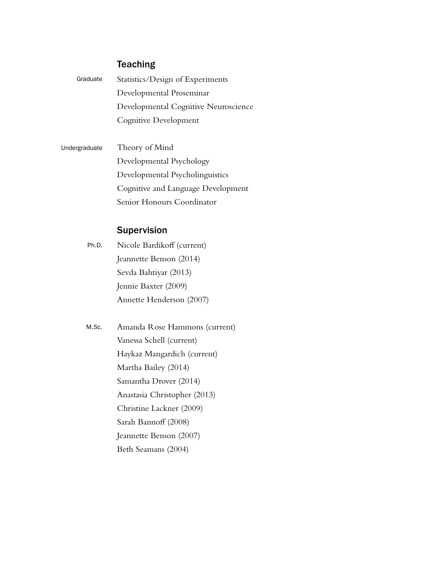# **Teaching**

| Graduate | Statistics/Design of Experiments     |
|----------|--------------------------------------|
|          | Developmental Proseminar             |
|          | Developmental Cognitive Neuroscience |
|          | Cognitive Development                |

Theory of Mind Developmental Psychology Developmental Psycholinguistics Cognitive and Language Development Senior Honours Coordinator Undergraduate

# Supervision

Nicole Bardikoff (current) Jeannette Benson (2014) Sevda Bahtiyar (2013) Jennie Baxter (2009) Annette Henderson (2007) Ph.D.

Amanda Rose Hammons (current) Vanessa Schell (current) Haykaz Mangardich (current) Martha Bailey (2014) Samantha Drover (2014) Anastasia Christopher (2013) Christine Lackner (2009) Sarah Bannoff (2008) Jeannette Benson (2007) Beth Seamans (2004) M.Sc.